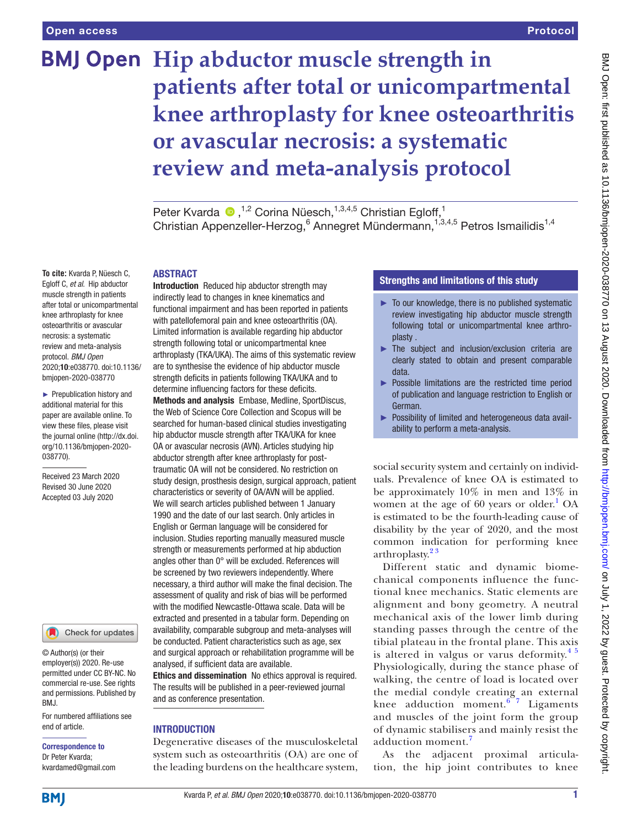# **BMJ Open** Hip abductor muscle strength in **patients after total or unicompartmental knee arthroplasty for knee osteoarthritis or avascular necrosis: a systematic review and meta-analysis protocol**

Peter Kvarda  $\bullet$ ,<sup>1,2</sup> Corina Nüesch,<sup>1,3,4,5</sup> Christian Egloff,<sup>1</sup> Christian Appenzeller-Herzog, <sup>6</sup> Annegret Mündermann, <sup>1,3,4,5</sup> Petros Ismailidis<sup>1,4</sup>

#### ABSTRACT

**To cite:** Kvarda P, Nüesch C, Egloff C, *et al*. Hip abductor muscle strength in patients after total or unicompartmental knee arthroplasty for knee osteoarthritis or avascular necrosis: a systematic review and meta-analysis protocol. *BMJ Open* 2020;10:e038770. doi:10.1136/ bmjopen-2020-038770

► Prepublication history and additional material for this paper are available online. To view these files, please visit the journal online (http://dx.doi. org/10.1136/bmjopen-2020- 038770).

Received 23 March 2020 Revised 30 June 2020 Accepted 03 July 2020



© Author(s) (or their employer(s)) 2020. Re-use permitted under CC BY-NC. No commercial re-use. See rights and permissions. Published by BMJ.

For numbered affiliations see end of article.

Correspondence to Dr Peter Kvarda; kvardamed@gmail.com

Introduction Reduced hip abductor strength may indirectly lead to changes in knee kinematics and functional impairment and has been reported in patients with patellofemoral pain and knee osteoarthritis (OA). Limited information is available regarding hip abductor strength following total or unicompartmental knee arthroplasty (TKA/UKA). The aims of this systematic review are to synthesise the evidence of hip abductor muscle strength deficits in patients following TKA/UKA and to determine influencing factors for these deficits.

Methods and analysis Embase, Medline, SportDiscus, the Web of Science Core Collection and Scopus will be searched for human-based clinical studies investigating hip abductor muscle strength after TKA/UKA for knee OA or avascular necrosis (AVN). Articles studying hip abductor strength after knee arthroplasty for posttraumatic OA will not be considered. No restriction on study design, prosthesis design, surgical approach, patient characteristics or severity of OA/AVN will be applied. We will search articles published between 1 January 1990 and the date of our last search. Only articles in English or German language will be considered for inclusion. Studies reporting manually measured muscle strength or measurements performed at hip abduction angles other than 0° will be excluded. References will be screened by two reviewers independently. Where necessary, a third author will make the final decision. The assessment of quality and risk of bias will be performed with the modified Newcastle-Ottawa scale. Data will be extracted and presented in a tabular form. Depending on availability, comparable subgroup and meta-analyses will be conducted. Patient characteristics such as age, sex and surgical approach or rehabilitation programme will be analysed, if sufficient data are available.

Ethics and dissemination No ethics approval is required. The results will be published in a peer-reviewed journal and as conference presentation.

#### INTRODUCTION

Degenerative diseases of the musculoskeletal system such as osteoarthritis (OA) are one of the leading burdens on the healthcare system,

## Strengths and limitations of this study

- $\blacktriangleright$  To our knowledge, there is no published systematic review investigating hip abductor muscle strength following total or unicompartmental knee arthroplasty .
- ► The subject and inclusion/exclusion criteria are clearly stated to obtain and present comparable data.
- ► Possible limitations are the restricted time period of publication and language restriction to English or German.
- ► Possibility of limited and heterogeneous data availability to perform a meta-analysis.

social security system and certainly on individuals. Prevalence of knee OA is estimated to be approximately 10% in men and 13% in women at the age of  $60$  years or older.<sup>[1](#page-4-0)</sup> OA is estimated to be the fourth-leading cause of disability by the year of 2020, and the most common indication for performing knee arthroplasty.<sup>23</sup>

Different static and dynamic biomechanical components influence the functional knee mechanics. Static elements are alignment and bony geometry. A neutral mechanical axis of the lower limb during standing passes through the centre of the tibial plateau in the frontal plane. This axis is altered in valgus or varus deformity. $45$ Physiologically, during the stance phase of walking, the centre of load is located over the medial condyle creating an external knee adduction moment. $67$  Ligaments and muscles of the joint form the group of dynamic stabilisers and mainly resist the adduction moment.<sup>[7](#page-4-4)</sup>

As the adjacent proximal articulation, the hip joint contributes to knee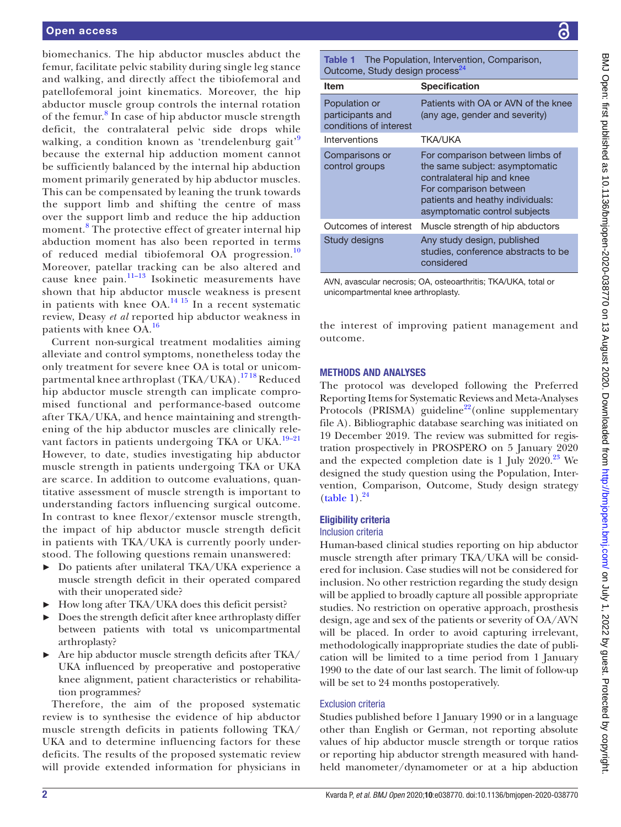biomechanics. The hip abductor muscles abduct the femur, facilitate pelvic stability during single leg stance and walking, and directly affect the tibiofemoral and patellofemoral joint kinematics. Moreover, the hip abductor muscle group controls the internal rotation of the femur.<sup>[8](#page-4-5)</sup> In case of hip abductor muscle strength deficit, the contralateral pelvic side drops while walking, a condition known as 'trendelenburg gait'<sup>[9](#page-4-6)</sup> because the external hip adduction moment cannot be sufficiently balanced by the internal hip abduction moment primarily generated by hip abductor muscles. This can be compensated by leaning the trunk towards the support limb and shifting the centre of mass over the support limb and reduce the hip adduction moment.<sup>[8](#page-4-5)</sup> The protective effect of greater internal hip abduction moment has also been reported in terms of reduced medial tibiofemoral OA progression.<sup>[10](#page-4-7)</sup> Moreover, patellar tracking can be also altered and cause knee pain. $11-13$  Isokinetic measurements have shown that hip abductor muscle weakness is present in patients with knee  $OA<sup>14-15</sup>$  In a recent systematic review, Deasy *et al* reported hip abductor weakness in patients with knee OA.<sup>[16](#page-4-10)</sup>

Current non-surgical treatment modalities aiming alleviate and control symptoms, nonetheless today the only treatment for severe knee OA is total or unicompartmental knee arthroplast (TKA/UKA).<sup>1718</sup> Reduced hip abductor muscle strength can implicate compromised functional and performance-based outcome after TKA/UKA, and hence maintaining and strengthening of the hip abductor muscles are clinically relevant factors in patients undergoing TKA or UKA.<sup>19-21</sup> However, to date, studies investigating hip abductor muscle strength in patients undergoing TKA or UKA are scarce. In addition to outcome evaluations, quantitative assessment of muscle strength is important to understanding factors influencing surgical outcome. In contrast to knee flexor/extensor muscle strength, the impact of hip abductor muscle strength deficit in patients with TKA/UKA is currently poorly understood. The following questions remain unanswered:

- ► Do patients after unilateral TKA/UKA experience a muscle strength deficit in their operated compared with their unoperated side?
- ► How long after TKA/UKA does this deficit persist?
- Does the strength deficit after knee arthroplasty differ between patients with total vs unicompartmental arthroplasty?
- ► Are hip abductor muscle strength deficits after TKA/ UKA influenced by preoperative and postoperative knee alignment, patient characteristics or rehabilitation programmes?

Therefore, the aim of the proposed systematic review is to synthesise the evidence of hip abductor muscle strength deficits in patients following TKA/ UKA and to determine influencing factors for these deficits. The results of the proposed systematic review will provide extended information for physicians in

<span id="page-1-0"></span>Table 1 The Population, Intervention, Comparison, Outcome, Study design process<sup>2</sup>

| <b>Item</b>                                                 | <b>Specification</b>                                                                                                                                                                           |
|-------------------------------------------------------------|------------------------------------------------------------------------------------------------------------------------------------------------------------------------------------------------|
| Population or<br>participants and<br>conditions of interest | Patients with OA or AVN of the knee<br>(any age, gender and severity)                                                                                                                          |
| Interventions                                               | TKA/UKA                                                                                                                                                                                        |
| Comparisons or<br>control groups                            | For comparison between limbs of<br>the same subject: asymptomatic<br>contralateral hip and knee<br>For comparison between<br>patients and heathy individuals:<br>asymptomatic control subjects |
| Outcomes of interest                                        | Muscle strength of hip abductors                                                                                                                                                               |
| Study designs                                               | Any study design, published<br>studies, conference abstracts to be<br>considered                                                                                                               |

AVN, avascular necrosis; OA, osteoarthritis; TKA/UKA, total or unicompartmental knee arthroplasty.

the interest of improving patient management and outcome.

#### METHODS AND ANALYSES

The protocol was developed following the Preferred Reporting Items for Systematic Reviews and Meta-Analyses Protocols (PRISMA) guideline<sup>22</sup>(online supplementary [file A\)](https://dx.doi.org/10.1136/bmjopen-2020-038770). Bibliographic database searching was initiated on 19 December 2019. The review was submitted for registration prospectively in PROSPERO on 5 January 2020 and the expected completion date is 1 July  $2020.^{23}$  $2020.^{23}$  $2020.^{23}$  We designed the study question using the Population, Intervention, Comparison, Outcome, Study design strategy  $(table 1).<sup>24</sup>$  $(table 1).<sup>24</sup>$  $(table 1).<sup>24</sup>$  $(table 1).<sup>24</sup>$ 

#### Eligibility criteria

#### Inclusion criteria

Human-based clinical studies reporting on hip abductor muscle strength after primary TKA/UKA will be considered for inclusion. Case studies will not be considered for inclusion. No other restriction regarding the study design will be applied to broadly capture all possible appropriate studies. No restriction on operative approach, prosthesis design, age and sex of the patients or severity of OA/AVN will be placed. In order to avoid capturing irrelevant, methodologically inappropriate studies the date of publication will be limited to a time period from 1 January 1990 to the date of our last search. The limit of follow-up will be set to 24 months postoperatively.

#### Exclusion criteria

Studies published before 1 January 1990 or in a language other than English or German, not reporting absolute values of hip abductor muscle strength or torque ratios or reporting hip abductor strength measured with handheld manometer/dynamometer or at a hip abduction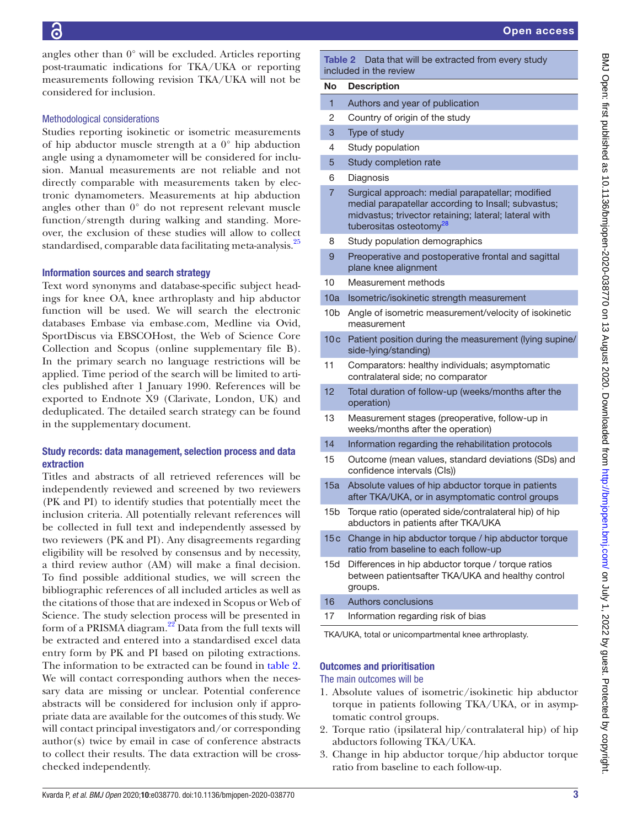angles other than 0° will be excluded. Articles reporting post-traumatic indications for TKA/UKA or reporting measurements following revision TKA/UKA will not be considered for inclusion.

#### Methodological considerations

Studies reporting isokinetic or isometric measurements of hip abductor muscle strength at a 0° hip abduction angle using a dynamometer will be considered for inclusion. Manual measurements are not reliable and not directly comparable with measurements taken by electronic dynamometers. Measurements at hip abduction angles other than 0° do not represent relevant muscle function/strength during walking and standing. Moreover, the exclusion of these studies will allow to collect standardised, comparable data facilitating meta-analysis.<sup>[25](#page-4-16)</sup>

#### Information sources and search strategy

Text word synonyms and database-specific subject headings for knee OA, knee arthroplasty and hip abductor function will be used. We will search the electronic databases Embase via embase.com, Medline via Ovid, SportDiscus via EBSCOHost, the Web of Science Core Collection and Scopus ([online supplementary file B](https://dx.doi.org/10.1136/bmjopen-2020-038770)). In the primary search no language restrictions will be applied. Time period of the search will be limited to articles published after 1 January 1990. References will be exported to Endnote X9 (Clarivate, London, UK) and deduplicated. The detailed search strategy can be found in the supplementary document.

### Study records: data management, selection process and data extraction

Titles and abstracts of all retrieved references will be independently reviewed and screened by two reviewers (PK and PI) to identify studies that potentially meet the inclusion criteria. All potentially relevant references will be collected in full text and independently assessed by two reviewers (PK and PI). Any disagreements regarding eligibility will be resolved by consensus and by necessity, a third review author (AM) will make a final decision. To find possible additional studies, we will screen the bibliographic references of all included articles as well as the citations of those that are indexed in Scopus or Web of Science. The study selection process will be presented in form of a PRISMA diagram.<sup>22</sup> Data from the full texts will be extracted and entered into a standardised excel data entry form by PK and PI based on piloting extractions. The information to be extracted can be found in [table](#page-2-0) 2. We will contact corresponding authors when the necessary data are missing or unclear. Potential conference abstracts will be considered for inclusion only if appropriate data are available for the outcomes of this study. We will contact principal investigators and/or corresponding author(s) twice by email in case of conference abstracts to collect their results. The data extraction will be crosschecked independently.

<span id="page-2-0"></span>Table 2 Data that will be extracted from every study included in the review

#### No Description

| Authors and year of publication |
|---------------------------------|
|                                 |

- 2 Country of origin of the study
- 3 Type of study
- 4 Study population
- 5 Study completion rate
- 6 Diagnosis
- 7 Surgical approach: medial parapatellar; modified medial parapatellar according to Insall; subvastus; midvastus; trivector retaining; lateral; lateral with tuberositas osteotomy<sup>2</sup>
- 8 Study population demographics
- 9 Preoperative and postoperative frontal and sagittal plane knee alignment
- 10 Measurement methods
- 10a Isometric/isokinetic strength measurement
- 10b Angle of isometric measurement/velocity of isokinetic measurement
- 10c Patient position during the measurement (lying supine/ side-lying/standing)
- 11 Comparators: healthy individuals; asymptomatic contralateral side; no comparator
- 12 Total duration of follow-up (weeks/months after the operation)
- 13 Measurement stages (preoperative, follow-up in weeks/months after the operation)
- 14 Information regarding the rehabilitation protocols
- 15 Outcome (mean values, standard deviations (SDs) and confidence intervals (CIs))
- 15a Absolute values of hip abductor torque in patients after TKA/UKA, or in asymptomatic control groups
- 15b Torque ratio (operated side/contralateral hip) of hip abductors in patients after TKA/UKA
- 15c Change in hip abductor torque / hip abductor torque ratio from baseline to each follow-up
- 15d Differences in hip abductor torque / torque ratios between patientsafter TKA/UKA and healthy control groups.
- 16 Authors conclusions
- 17 Information regarding risk of bias

TKA/UKA, total or unicompartmental knee arthroplasty.

### Outcomes and prioritisation

#### The main outcomes will be

- 1. Absolute values of isometric/isokinetic hip abductor torque in patients following TKA/UKA, or in asymptomatic control groups.
- 2. Torque ratio (ipsilateral hip/contralateral hip) of hip abductors following TKA/UKA.
- 3. Change in hip abductor torque/hip abductor torque ratio from baseline to each follow-up.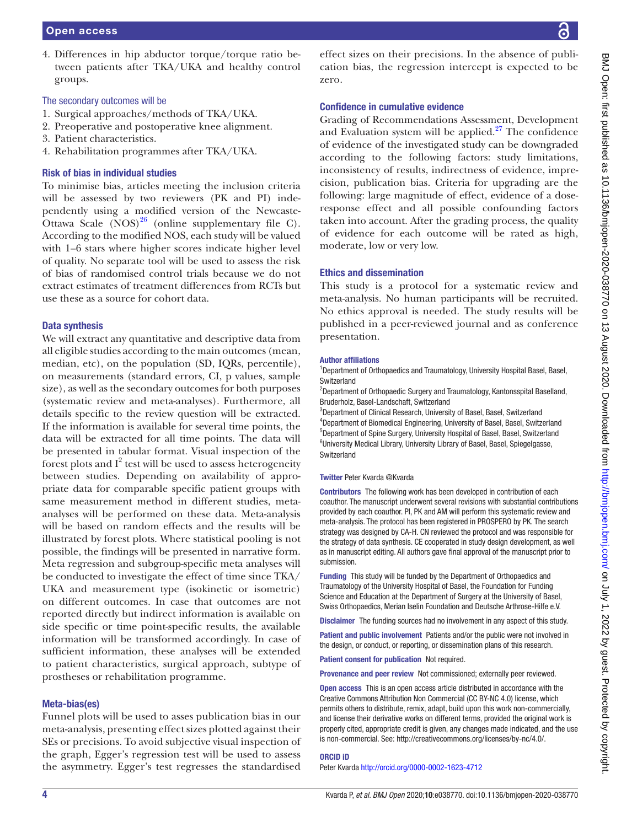4. Differences in hip abductor torque/torque ratio between patients after TKA/UKA and healthy control groups.

# The secondary outcomes will be

- 1. Surgical approaches/methods of TKA/UKA.
- 2. Preoperative and postoperative knee alignment.
- 3. Patient characteristics.
- 4. Rehabilitation programmes after TKA/UKA.

# Risk of bias in individual studies

To minimise bias, articles meeting the inclusion criteria will be assessed by two reviewers (PK and PI) independently using a modified version of the Newcaste-Ottawa Scale  $(NOS)^{26}$  $(NOS)^{26}$  $(NOS)^{26}$  [\(online supplementary file C](https://dx.doi.org/10.1136/bmjopen-2020-038770)). According to the modified NOS, each study will be valued with 1–6 stars where higher scores indicate higher level of quality. No separate tool will be used to assess the risk of bias of randomised control trials because we do not extract estimates of treatment differences from RCTs but use these as a source for cohort data.

### Data synthesis

We will extract any quantitative and descriptive data from all eligible studies according to the main outcomes (mean, median, etc), on the population (SD, IQRs, percentile), on measurements (standard errors, CI, p values, sample size), as well as the secondary outcomes for both purposes (systematic review and meta-analyses). Furthermore, all details specific to the review question will be extracted. If the information is available for several time points, the data will be extracted for all time points. The data will be presented in tabular format. Visual inspection of the forest plots and  $I^2$  test will be used to assess heterogeneity between studies. Depending on availability of appropriate data for comparable specific patient groups with same measurement method in different studies, metaanalyses will be performed on these data. Meta-analysis will be based on random effects and the results will be illustrated by forest plots. Where statistical pooling is not possible, the findings will be presented in narrative form. Meta regression and subgroup-specific meta analyses will be conducted to investigate the effect of time since TKA/ UKA and measurement type (isokinetic or isometric) on different outcomes. In case that outcomes are not reported directly but indirect information is available on side specific or time point-specific results, the available information will be transformed accordingly. In case of sufficient information, these analyses will be extended to patient characteristics, surgical approach, subtype of prostheses or rehabilitation programme.

### Meta-bias(es)

Funnel plots will be used to asses publication bias in our meta-analysis, presenting effect sizes plotted against their SEs or precisions. To avoid subjective visual inspection of the graph, Egger's regression test will be used to assess the asymmetry. Egger's test regresses the standardised

effect sizes on their precisions. In the absence of publication bias, the regression intercept is expected to be zero.

### Confidence in cumulative evidence

Grading of Recommendations Assessment, Development and Evaluation system will be applied. $27$  The confidence of evidence of the investigated study can be downgraded according to the following factors: study limitations, inconsistency of results, indirectness of evidence, imprecision, publication bias. Criteria for upgrading are the following: large magnitude of effect, evidence of a doseresponse effect and all possible confounding factors taken into account. After the grading process, the quality of evidence for each outcome will be rated as high, moderate, low or very low.

### Ethics and dissemination

This study is a protocol for a systematic review and meta-analysis. No human participants will be recruited. No ethics approval is needed. The study results will be published in a peer-reviewed journal and as conference presentation.

#### Author affiliations

<sup>1</sup>Department of Orthopaedics and Traumatology, University Hospital Basel, Basel, **Switzerland** 

<sup>2</sup>Department of Orthopaedic Surgery and Traumatology, Kantonsspital Baselland, Bruderholz, Basel-Landschaft, Switzerland

<sup>3</sup>Department of Clinical Research, University of Basel, Basel, Switzerland 4 Department of Biomedical Engineering, University of Basel, Basel, Switzerland 5 Department of Spine Surgery, University Hospital of Basel, Basel, Switzerland <sup>6</sup>University Medical Library, University Library of Basel, Basel, Spiegelgasse, **Switzerland** 

#### Twitter Peter Kvarda [@Kvarda](https://twitter.com/Kvarda)

Contributors The following work has been developed in contribution of each coauthor. The manuscript underwent several revisions with substantial contributions provided by each coauthor. PI, PK and AM will perform this systematic review and meta-analysis. The protocol has been registered in PROSPERO by PK. The search strategy was designed by CA-H. CN reviewed the protocol and was responsible for the strategy of data synthesis. CE cooperated in study design development, as well as in manuscript editing. All authors gave final approval of the manuscript prior to submission.

Funding This study will be funded by the Department of Orthopaedics and Traumatology of the University Hospital of Basel, the Foundation for Funding Science and Education at the Department of Surgery at the University of Basel, Swiss Orthopaedics, Merian Iselin Foundation and Deutsche Arthrose-Hilfe e.V.

Disclaimer The funding sources had no involvement in any aspect of this study.

Patient and public involvement Patients and/or the public were not involved in the design, or conduct, or reporting, or dissemination plans of this research.

Patient consent for publication Not required.

Provenance and peer review Not commissioned; externally peer reviewed.

Open access This is an open access article distributed in accordance with the Creative Commons Attribution Non Commercial (CC BY-NC 4.0) license, which permits others to distribute, remix, adapt, build upon this work non-commercially, and license their derivative works on different terms, provided the original work is properly cited, appropriate credit is given, any changes made indicated, and the use is non-commercial. See: [http://creativecommons.org/licenses/by-nc/4.0/.](http://creativecommons.org/licenses/by-nc/4.0/)

#### ORCID iD

Peter Kvarda<http://orcid.org/0000-0002-1623-4712>